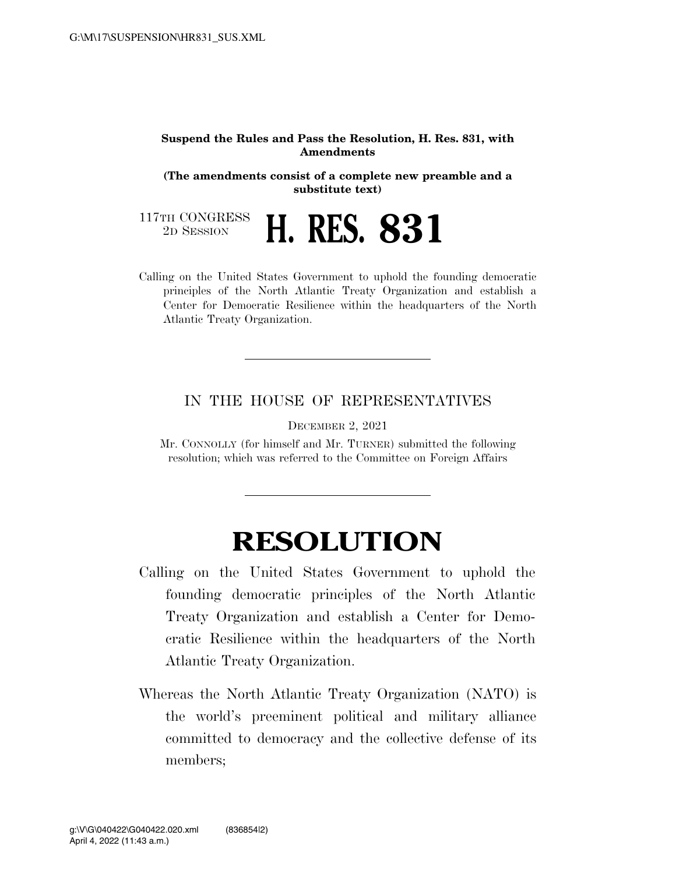## **Suspend the Rules and Pass the Resolution, H. Res. 831, with Amendments**

**(The amendments consist of a complete new preamble and a substitute text)** 

117TH CONGRESS<br>2D SESSION

2D SESSION **H. RES. 831** 

Calling on the United States Government to uphold the founding democratic principles of the North Atlantic Treaty Organization and establish a Center for Democratic Resilience within the headquarters of the North Atlantic Treaty Organization.

## IN THE HOUSE OF REPRESENTATIVES

DECEMBER 2, 2021

Mr. CONNOLLY (for himself and Mr. TURNER) submitted the following resolution; which was referred to the Committee on Foreign Affairs

## **RESOLUTION**

- Calling on the United States Government to uphold the founding democratic principles of the North Atlantic Treaty Organization and establish a Center for Democratic Resilience within the headquarters of the North Atlantic Treaty Organization.
- Whereas the North Atlantic Treaty Organization (NATO) is the world's preeminent political and military alliance committed to democracy and the collective defense of its members;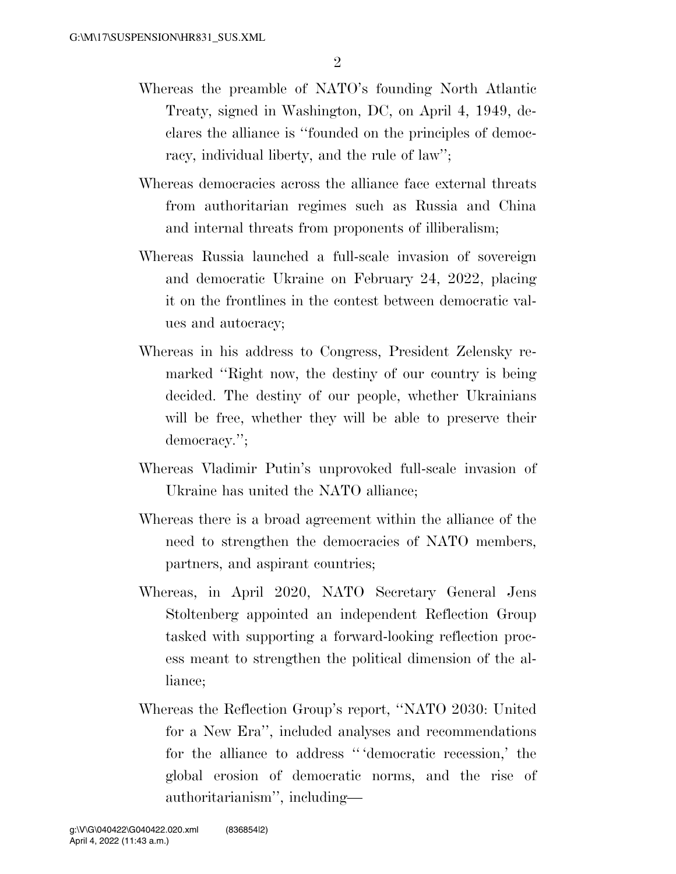- Whereas the preamble of NATO's founding North Atlantic Treaty, signed in Washington, DC, on April 4, 1949, declares the alliance is ''founded on the principles of democracy, individual liberty, and the rule of law'';
- Whereas democracies across the alliance face external threats from authoritarian regimes such as Russia and China and internal threats from proponents of illiberalism;
- Whereas Russia launched a full-scale invasion of sovereign and democratic Ukraine on February 24, 2022, placing it on the frontlines in the contest between democratic values and autocracy;
- Whereas in his address to Congress, President Zelensky remarked ''Right now, the destiny of our country is being decided. The destiny of our people, whether Ukrainians will be free, whether they will be able to preserve their democracy.'';
- Whereas Vladimir Putin's unprovoked full-scale invasion of Ukraine has united the NATO alliance;
- Whereas there is a broad agreement within the alliance of the need to strengthen the democracies of NATO members, partners, and aspirant countries;
- Whereas, in April 2020, NATO Secretary General Jens Stoltenberg appointed an independent Reflection Group tasked with supporting a forward-looking reflection process meant to strengthen the political dimension of the alliance;
- Whereas the Reflection Group's report, ''NATO 2030: United for a New Era'', included analyses and recommendations for the alliance to address '' 'democratic recession,' the global erosion of democratic norms, and the rise of authoritarianism'', including—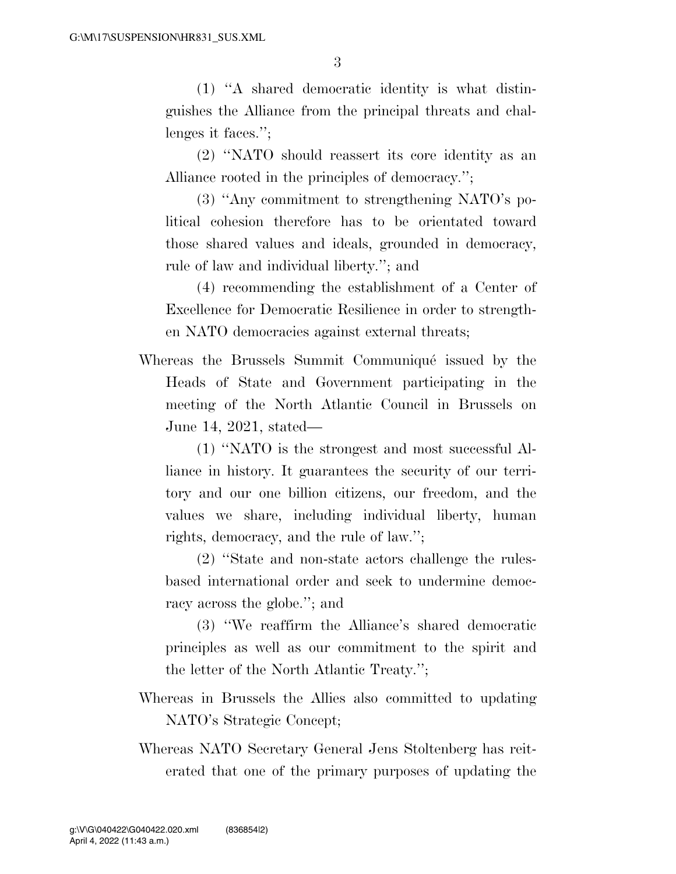(1) ''A shared democratic identity is what distinguishes the Alliance from the principal threats and challenges it faces.'';

(2) ''NATO should reassert its core identity as an Alliance rooted in the principles of democracy.'';

(3) ''Any commitment to strengthening NATO's political cohesion therefore has to be orientated toward those shared values and ideals, grounded in democracy, rule of law and individual liberty.''; and

(4) recommending the establishment of a Center of Excellence for Democratic Resilience in order to strengthen NATO democracies against external threats;

Whereas the Brussels Summit Communiqué issued by the Heads of State and Government participating in the meeting of the North Atlantic Council in Brussels on June 14, 2021, stated—

(1) ''NATO is the strongest and most successful Alliance in history. It guarantees the security of our territory and our one billion citizens, our freedom, and the values we share, including individual liberty, human rights, democracy, and the rule of law.'';

(2) ''State and non-state actors challenge the rulesbased international order and seek to undermine democracy across the globe.''; and

(3) ''We reaffirm the Alliance's shared democratic principles as well as our commitment to the spirit and the letter of the North Atlantic Treaty.'';

- Whereas in Brussels the Allies also committed to updating NATO's Strategic Concept;
- Whereas NATO Secretary General Jens Stoltenberg has reiterated that one of the primary purposes of updating the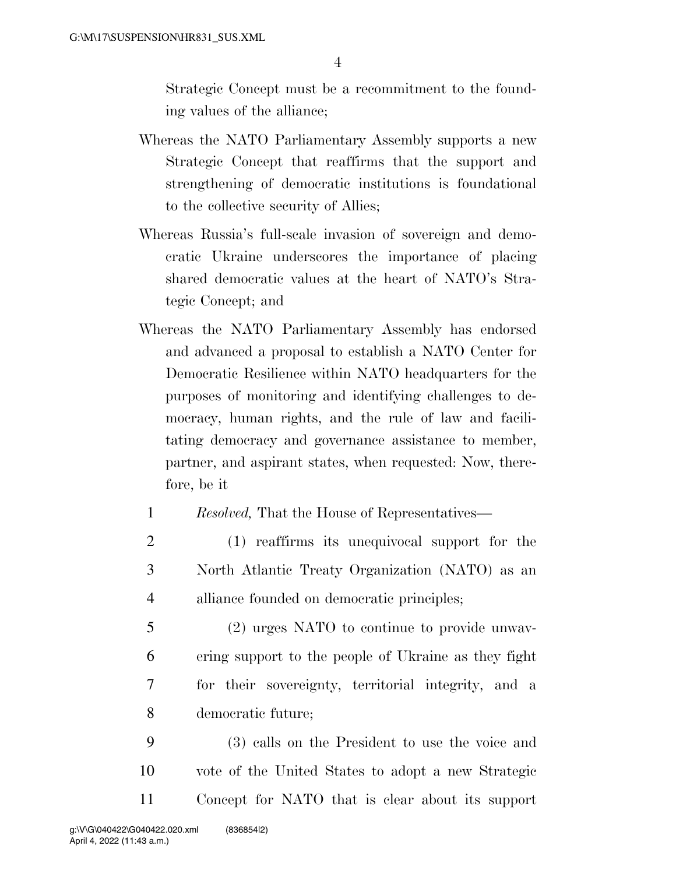Strategic Concept must be a recommitment to the founding values of the alliance;

- Whereas the NATO Parliamentary Assembly supports a new Strategic Concept that reaffirms that the support and strengthening of democratic institutions is foundational to the collective security of Allies;
- Whereas Russia's full-scale invasion of sovereign and democratic Ukraine underscores the importance of placing shared democratic values at the heart of NATO's Strategic Concept; and
- Whereas the NATO Parliamentary Assembly has endorsed and advanced a proposal to establish a NATO Center for Democratic Resilience within NATO headquarters for the purposes of monitoring and identifying challenges to democracy, human rights, and the rule of law and facilitating democracy and governance assistance to member, partner, and aspirant states, when requested: Now, therefore, be it
	- 1 *Resolved,* That the House of Representatives—
	- 2 (1) reaffirms its unequivocal support for the 3 North Atlantic Treaty Organization (NATO) as an 4 alliance founded on democratic principles;
	- 5 (2) urges NATO to continue to provide unwav-6 ering support to the people of Ukraine as they fight 7 for their sovereignty, territorial integrity, and a 8 democratic future;
- 9 (3) calls on the President to use the voice and 10 vote of the United States to adopt a new Strategic 11 Concept for NATO that is clear about its support